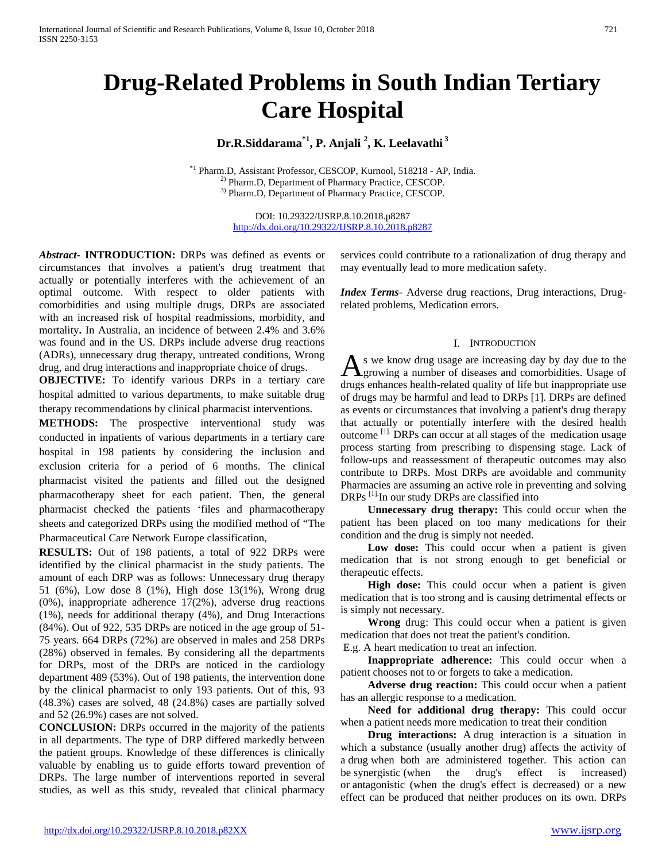# **Drug-Related Problems in South Indian Tertiary Care Hospital**

# **Dr.R.Siddarama\*1, P. Anjali 2 , K. Leelavathi <sup>3</sup>**

\*1 Pharm.D, Assistant Professor, CESCOP, Kurnool, 518218 - AP, India. 2) Pharm.D, Department of Pharmacy Practice, CESCOP. 3) Pharm.D, Department of Pharmacy Practice, CESCOP.

> DOI: 10.29322/IJSRP.8.10.2018.p8287 <http://dx.doi.org/10.29322/IJSRP.8.10.2018.p8287>

*Abstract***- INTRODUCTION:** DRPs was defined as events or circumstances that involves a patient's drug treatment that actually or potentially interferes with the achievement of an optimal outcome. With respect to older patients with comorbidities and using multiple drugs, DRPs are associated with an increased risk of hospital readmissions, morbidity, and mortality**.** In Australia, an incidence of between 2.4% and 3.6% was found and in the US. DRPs include adverse drug reactions (ADRs), unnecessary drug therapy, untreated conditions, Wrong drug, and drug interactions and inappropriate choice of drugs.

**OBJECTIVE:** To identify various DRPs in a tertiary care hospital admitted to various departments, to make suitable drug therapy recommendations by clinical pharmacist interventions.

**METHODS:** The prospective interventional study was conducted in inpatients of various departments in a tertiary care hospital in 198 patients by considering the inclusion and exclusion criteria for a period of 6 months. The clinical pharmacist visited the patients and filled out the designed pharmacotherapy sheet for each patient. Then, the general pharmacist checked the patients 'files and pharmacotherapy sheets and categorized DRPs using the modified method of "The Pharmaceutical Care Network Europe classification,

**RESULTS:** Out of 198 patients, a total of 922 DRPs were identified by the clinical pharmacist in the study patients. The amount of each DRP was as follows: Unnecessary drug therapy 51 (6%), Low dose 8 (1%), High dose 13(1%), Wrong drug (0%), inappropriate adherence 17(2%), adverse drug reactions (1%), needs for additional therapy (4%), and Drug Interactions (84%). Out of 922, 535 DRPs are noticed in the age group of 51- 75 years. 664 DRPs (72%) are observed in males and 258 DRPs (28%) observed in females. By considering all the departments for DRPs, most of the DRPs are noticed in the cardiology department 489 (53%). Out of 198 patients, the intervention done by the clinical pharmacist to only 193 patients. Out of this, 93 (48.3%) cases are solved, 48 (24.8%) cases are partially solved and 52 (26.9%) cases are not solved.

**CONCLUSION:** DRPs occurred in the majority of the patients in all departments. The type of DRP differed markedly between the patient groups. Knowledge of these differences is clinically valuable by enabling us to guide efforts toward prevention of DRPs. The large number of interventions reported in several studies, as well as this study, revealed that clinical pharmacy

services could contribute to a rationalization of drug therapy and may eventually lead to more medication safety.

*Index Terms*- Adverse drug reactions, Drug interactions, Drugrelated problems, Medication errors.

### I. INTRODUCTION

s we know drug usage are increasing day by day due to the As we know drug usage are increasing day by day due to the growing a number of diseases and comorbidities. Usage of drugs enhances health-related quality of life but inappropriate use of drugs may be harmful and lead to DRPs [1]. DRPs are defined as events or circumstances that involving a patient's drug therapy that actually or potentially interfere with the desired health outcome [1]. DRPs can occur at all stages of the medication usage process starting from prescribing to dispensing stage. Lack of follow-ups and reassessment of therapeutic outcomes may also contribute to DRPs. Most DRPs are avoidable and community Pharmacies are assuming an active role in preventing and solving DRPs <sup>[1].</sup>In our study DRPs are classified into

 **Unnecessary drug therapy:** This could occur when the patient has been placed on too many medications for their condition and the drug is simply not needed.

Low dose: This could occur when a patient is given medication that is not strong enough to get beneficial or therapeutic effects.

 **High dose:** This could occur when a patient is given medication that is too strong and is causing detrimental effects or is simply not necessary.

 **Wrong** drug: This could occur when a patient is given medication that does not treat the patient's condition.

E.g. A heart medication to treat an infection.

 **Inappropriate adherence:** This could occur when a patient chooses not to or forgets to take a medication.

 **Adverse drug reaction:** This could occur when a patient has an allergic response to a medication.

 **Need for additional drug therapy:** This could occur when a patient needs more medication to treat their condition

 **Drug interactions:** A drug interaction is a situation in which a substance (usually another drug) affects the activity of a drug when both are administered together. This action can be synergistic (when the drug's effect is increased) or antagonistic (when the drug's effect is decreased) or a new effect can be produced that neither produces on its own. DRPs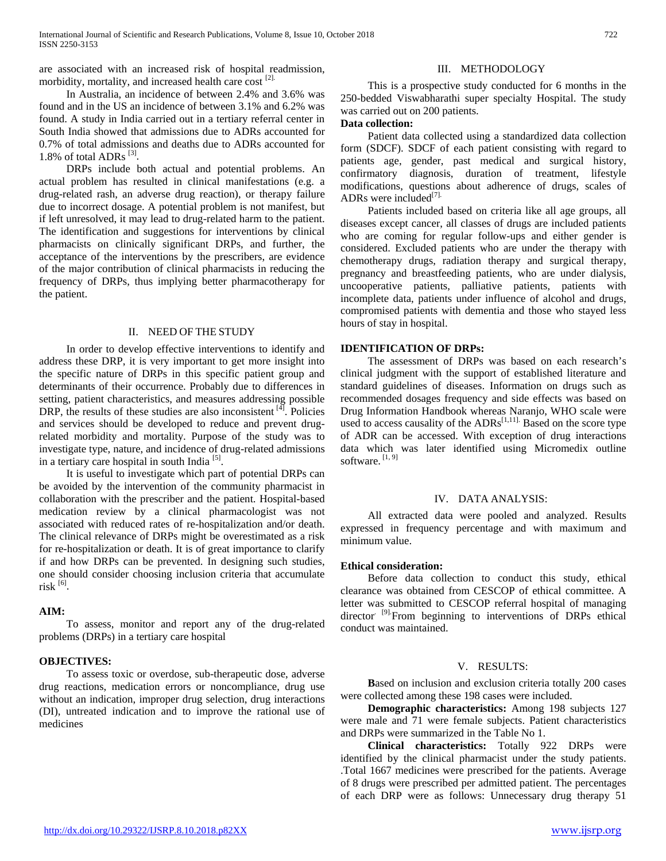are associated with an increased risk of hospital readmission, morbidity, mortality, and increased health care cost <sup>[2].</sup>

In Australia, an incidence of between 2.4% and 3.6% was found and in the US an incidence of between 3.1% and 6.2% was found. A study in India carried out in a tertiary referral center in South India showed that admissions due to ADRs accounted for 0.7% of total admissions and deaths due to ADRs accounted for 1.8% of total ADRs  $^{[3]}$ .

DRPs include both actual and potential problems. An actual problem has resulted in clinical manifestations (e.g. a drug-related rash, an adverse drug reaction), or therapy failure due to incorrect dosage. A potential problem is not manifest, but if left unresolved, it may lead to drug-related harm to the patient. The identification and suggestions for interventions by clinical pharmacists on clinically significant DRPs, and further, the acceptance of the interventions by the prescribers, are evidence of the major contribution of clinical pharmacists in reducing the frequency of DRPs, thus implying better pharmacotherapy for the patient.

### II. NEED OF THE STUDY

In order to develop effective interventions to identify and address these DRP, it is very important to get more insight into the specific nature of DRPs in this specific patient group and determinants of their occurrence. Probably due to differences in setting, patient characteristics, and measures addressing possible DRP, the results of these studies are also inconsistent  $[4]$ . Policies and services should be developed to reduce and prevent drugrelated morbidity and mortality. Purpose of the study was to investigate type, nature, and incidence of drug-related admissions in a tertiary care hospital in south India<sup>[5]</sup>.

It is useful to investigate which part of potential DRPs can be avoided by the intervention of the community pharmacist in collaboration with the prescriber and the patient. Hospital-based medication review by a clinical pharmacologist was not associated with reduced rates of re-hospitalization and/or death. The clinical relevance of DRPs might be overestimated as a risk for re-hospitalization or death. It is of great importance to clarify if and how DRPs can be prevented. In designing such studies, one should consider choosing inclusion criteria that accumulate risk  $^{[6]}$ .

# **AIM:**

To assess, monitor and report any of the drug-related problems (DRPs) in a tertiary care hospital

### **OBJECTIVES:**

To assess toxic or overdose, sub-therapeutic dose, adverse drug reactions, medication errors or noncompliance, drug use without an indication, improper drug selection, drug interactions (DI), untreated indication and to improve the rational use of medicines

# III. METHODOLOGY

This is a prospective study conducted for 6 months in the 250-bedded Viswabharathi super specialty Hospital. The study was carried out on 200 patients.

# **Data collection:**

Patient data collected using a standardized data collection form (SDCF). SDCF of each patient consisting with regard to patients age, gender, past medical and surgical history, confirmatory diagnosis, duration of treatment, lifestyle modifications, questions about adherence of drugs, scales of ADRs were included $^{[7]}$ .

Patients included based on criteria like all age groups, all diseases except cancer, all classes of drugs are included patients who are coming for regular follow-ups and either gender is considered. Excluded patients who are under the therapy with chemotherapy drugs, radiation therapy and surgical therapy, pregnancy and breastfeeding patients, who are under dialysis, uncooperative patients, palliative patients, patients with incomplete data, patients under influence of alcohol and drugs, compromised patients with dementia and those who stayed less hours of stay in hospital.

# **IDENTIFICATION OF DRPs:**

The assessment of DRPs was based on each research's clinical judgment with the support of established literature and standard guidelines of diseases. Information on drugs such as recommended dosages frequency and side effects was based on Drug Information Handbook whereas Naranjo, WHO scale were used to access causality of the  $\text{ADRs}^{[1,11]}$ . Based on the score type of ADR can be accessed. With exception of drug interactions data which was later identified using Micromedix outline software.<sup>[1, 9]</sup>

### IV. DATA ANALYSIS:

All extracted data were pooled and analyzed. Results expressed in frequency percentage and with maximum and minimum value.

### **Ethical consideration:**

Before data collection to conduct this study, ethical clearance was obtained from CESCOP of ethical committee. A letter was submitted to CESCOP referral hospital of managing director<sup>[9]</sup>.From beginning to interventions of DRPs ethical conduct was maintained.

### V. RESULTS:

 **B**ased on inclusion and exclusion criteria totally 200 cases were collected among these 198 cases were included.

 **Demographic characteristics:** Among 198 subjects 127 were male and 71 were female subjects. Patient characteristics and DRPs were summarized in the Table No 1.

 **Clinical characteristics:** Totally 922 DRPs were identified by the clinical pharmacist under the study patients. .Total 1667 medicines were prescribed for the patients. Average of 8 drugs were prescribed per admitted patient. The percentages of each DRP were as follows: Unnecessary drug therapy 51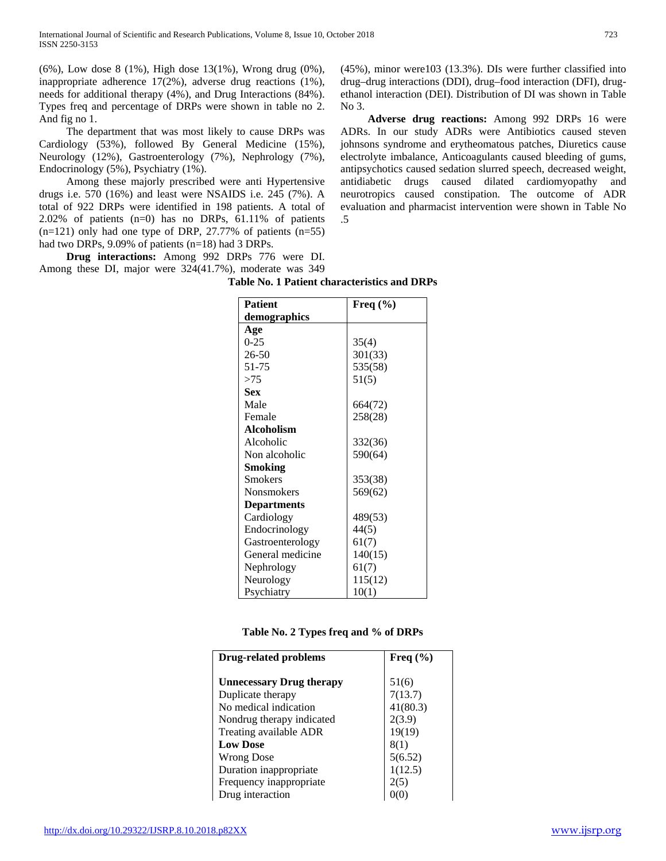(6%), Low dose 8 (1%), High dose 13(1%), Wrong drug (0%), inappropriate adherence 17(2%), adverse drug reactions (1%), needs for additional therapy (4%), and Drug Interactions (84%). Types freq and percentage of DRPs were shown in table no 2. And fig no 1.

The department that was most likely to cause DRPs was Cardiology (53%), followed By General Medicine (15%), Neurology (12%), Gastroenterology (7%), Nephrology (7%), Endocrinology (5%), Psychiatry (1%).

Among these majorly prescribed were anti Hypertensive drugs i.e. 570 (16%) and least were NSAIDS i.e. 245 (7%). A total of 922 DRPs were identified in 198 patients. A total of 2.02% of patients (n=0) has no DRPs, 61.11% of patients  $(n=121)$  only had one type of DRP, 27.77% of patients  $(n=55)$ had two DRPs, 9.09% of patients (n=18) had 3 DRPs.

 **Drug interactions:** Among 992 DRPs 776 were DI. Among these DI, major were 324(41.7%), moderate was 349

> **Patient demographics Freq (%) Age** 0-25 26-50 51-75  $>75$ 35(4) 301(33) 535(58) 51(5) **Sex** Male Female 664(72) 258(28) **Alcoholism** Alcoholic Non alcoholic 332(36) 590(64) **Smoking** Smokers Nonsmokers 353(38) 569(62) **Departments** Cardiology Endocrinology Gastroenterology General medicine Nephrology Neurology Psychiatry 489(53) 44(5) 61(7) 140(15) 61(7) 115(12) 10(1)

**Table No. 1 Patient characteristics and DRPs**

| Table No. 2 Types freq and % of DRPs |  |  |  |  |  |  |
|--------------------------------------|--|--|--|--|--|--|
|--------------------------------------|--|--|--|--|--|--|

| Drug-related problems           | Freq $(\% )$ |  |  |
|---------------------------------|--------------|--|--|
|                                 |              |  |  |
| <b>Unnecessary Drug therapy</b> | 51(6)        |  |  |
| Duplicate therapy               | 7(13.7)      |  |  |
| No medical indication           | 41(80.3)     |  |  |
| Nondrug therapy indicated       | 2(3.9)       |  |  |
| Treating available ADR          | 19(19)       |  |  |
| <b>Low Dose</b>                 | 8(1)         |  |  |
| Wrong Dose                      | 5(6.52)      |  |  |
| Duration inappropriate          | 1(12.5)      |  |  |
| Frequency inappropriate         | 2(5)         |  |  |
| Drug interaction                |              |  |  |

<http://dx.doi.org/10.29322/IJSRP.8.10.2018.p82XX> [www.ijsrp.org](http://ijsrp.org/)

drug–drug interactions (DDI), drug–food interaction (DFI), drugethanol interaction (DEI). Distribution of DI was shown in Table No 3.  **Adverse drug reactions:** Among 992 DRPs 16 were

(45%), minor were103 (13.3%). DIs were further classified into

ADRs. In our study ADRs were Antibiotics caused steven johnsons syndrome and erytheomatous patches, Diuretics cause electrolyte imbalance, Anticoagulants caused bleeding of gums, antipsychotics caused sedation slurred speech, decreased weight, antidiabetic drugs caused dilated cardiomyopathy and neurotropics caused constipation. The outcome of ADR evaluation and pharmacist intervention were shown in Table No .5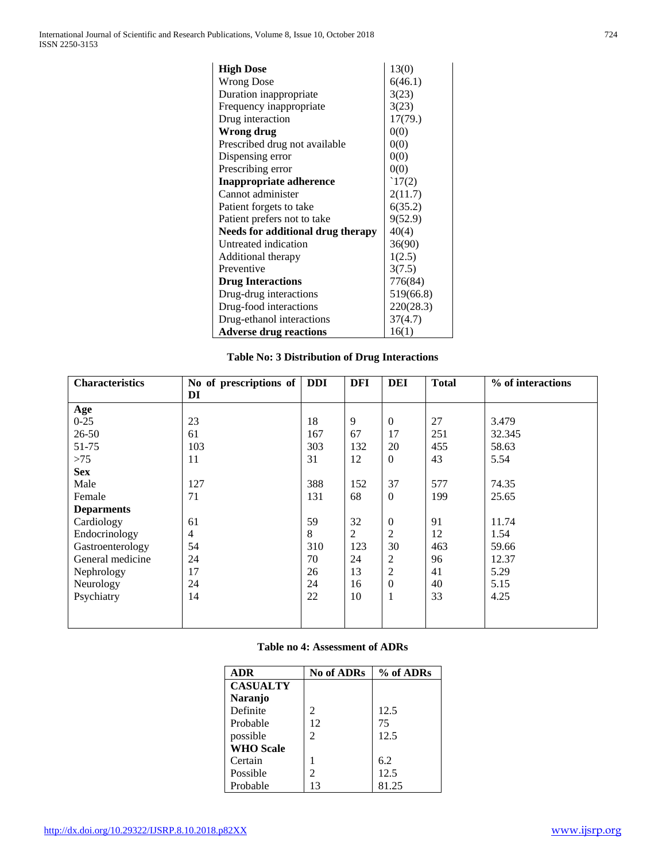| <b>High Dose</b>                  | 13(0)     |  |  |
|-----------------------------------|-----------|--|--|
| <b>Wrong Dose</b>                 | 6(46.1)   |  |  |
| Duration inappropriate            | 3(23)     |  |  |
| Frequency inappropriate           | 3(23)     |  |  |
| Drug interaction                  | 17(79.)   |  |  |
| Wrong drug                        | 0(0)      |  |  |
| Prescribed drug not available     | 0(0)      |  |  |
| Dispensing error                  | 0(0)      |  |  |
| Prescribing error                 | 0(0)      |  |  |
| <b>Inappropriate adherence</b>    | 17(2)     |  |  |
| Cannot administer                 | 2(11.7)   |  |  |
| Patient forgets to take           | 6(35.2)   |  |  |
| Patient prefers not to take       | 9(52.9)   |  |  |
| Needs for additional drug therapy | 40(4)     |  |  |
| Untreated indication              | 36(90)    |  |  |
| Additional therapy                | 1(2.5)    |  |  |
| Preventive                        | 3(7.5)    |  |  |
| <b>Drug Interactions</b>          | 776(84)   |  |  |
| Drug-drug interactions            | 519(66.8) |  |  |
| Drug-food interactions            | 220(28.3) |  |  |
| Drug-ethanol interactions         | 37(4.7)   |  |  |
| <b>Adverse drug reactions</b>     | 16(1)     |  |  |

# **Table No: 3 Distribution of Drug Interactions**

| <b>Characteristics</b> | No of prescriptions of | <b>DDI</b> | <b>DFI</b> | DEI              | <b>Total</b> | % of interactions |
|------------------------|------------------------|------------|------------|------------------|--------------|-------------------|
|                        | DI                     |            |            |                  |              |                   |
| Age                    |                        |            |            |                  |              |                   |
| $0-25$                 | 23                     | 18         | 9          | $\overline{0}$   | 27           | 3.479             |
| $26 - 50$              | 61                     | 167        | 67         | 17               | 251          | 32.345            |
| 51-75                  | 103                    | 303        | 132        | 20               | 455          | 58.63             |
| $>75$                  | 11                     | 31         | 12         | $\Omega$         | 43           | 5.54              |
| <b>Sex</b>             |                        |            |            |                  |              |                   |
| Male                   | 127                    | 388        | 152        | 37               | 577          | 74.35             |
| Female                 | 71                     | 131        | 68         | $\boldsymbol{0}$ | 199          | 25.65             |
| <b>Deparments</b>      |                        |            |            |                  |              |                   |
| Cardiology             | 61                     | 59         | 32         | $\overline{0}$   | 91           | 11.74             |
| Endocrinology          | 4                      | 8          | 2          | $\overline{2}$   | 12           | 1.54              |
| Gastroenterology       | 54                     | 310        | 123        | 30               | 463          | 59.66             |
| General medicine       | 24                     | 70         | 24         | $\overline{c}$   | 96           | 12.37             |
| Nephrology             | 17                     | 26         | 13         | $\overline{c}$   | 41           | 5.29              |
| Neurology              | 24                     | 24         | 16         | $\overline{0}$   | 40           | 5.15              |
| Psychiatry             | 14                     | 22         | 10         | $\mathbf{1}$     | 33           | 4.25              |
|                        |                        |            |            |                  |              |                   |
|                        |                        |            |            |                  |              |                   |

# **Table no 4: Assessment of ADRs**

| <b>ADR</b>       | <b>No of ADRs</b> | % of ADRs |
|------------------|-------------------|-----------|
| <b>CASUALTY</b>  |                   |           |
| Naranjo          |                   |           |
| Definite         | 2                 | 12.5      |
| Probable         | 12                | 75        |
| possible         | 2                 | 12.5      |
| <b>WHO</b> Scale |                   |           |
| Certain          |                   | 6.2       |
| Possible         | 2                 | 12.5      |
| Probable         | 13                | 81.25     |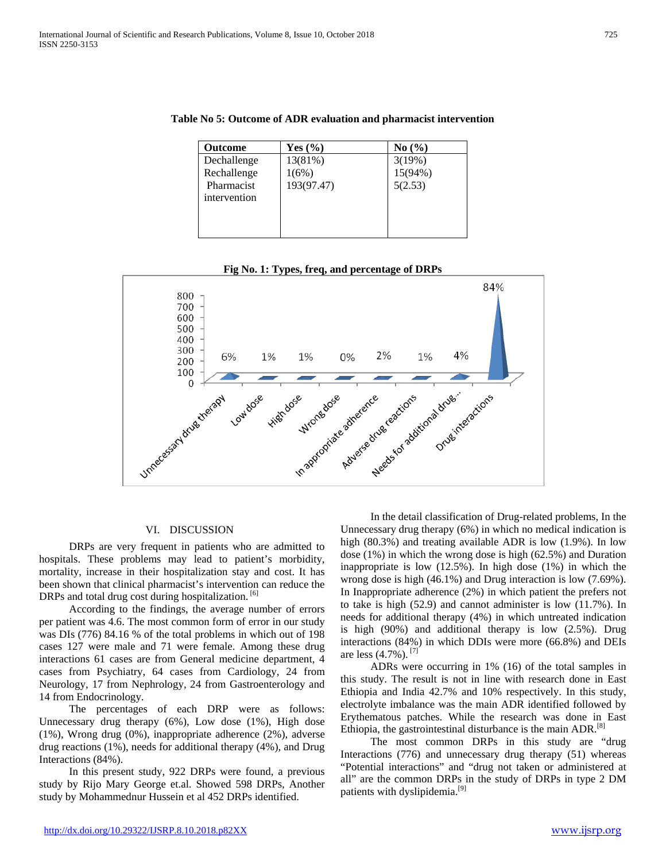| <b>Outcome</b> | Yes $(\% )$ | No(%)   |
|----------------|-------------|---------|
| Dechallenge    | 13(81%)     | 3(19%)  |
| Rechallenge    | 1(6%)       | 15(94%) |
| Pharmacist     | 193(97.47)  | 5(2.53) |
| intervention   |             |         |
|                |             |         |
|                |             |         |
|                |             |         |

# **Table No 5: Outcome of ADR evaluation and pharmacist intervention**

# **Fig No. 1: Types, freq, and percentage of DRPs**



#### VI. DISCUSSION

 DRPs are very frequent in patients who are admitted to hospitals. These problems may lead to patient's morbidity, mortality, increase in their hospitalization stay and cost. It has been shown that clinical pharmacist's intervention can reduce the DRPs and total drug cost during hospitalization.<sup>[6]</sup>

 According to the findings, the average number of errors per patient was 4.6. The most common form of error in our study was DIs (776) 84.16 % of the total problems in which out of 198 cases 127 were male and 71 were female. Among these drug interactions 61 cases are from General medicine department, 4 cases from Psychiatry, 64 cases from Cardiology, 24 from Neurology, 17 from Nephrology, 24 from Gastroenterology and 14 from Endocrinology.

 The percentages of each DRP were as follows: Unnecessary drug therapy (6%), Low dose (1%), High dose (1%), Wrong drug (0%), inappropriate adherence (2%), adverse drug reactions (1%), needs for additional therapy (4%), and Drug Interactions (84%).

 In this present study, 922 DRPs were found, a previous study by Rijo Mary George et.al. Showed 598 DRPs, Another study by Mohammednur Hussein et al 452 DRPs identified.

 In the detail classification of Drug-related problems, In the Unnecessary drug therapy (6%) in which no medical indication is high (80.3%) and treating available ADR is low (1.9%). In low dose (1%) in which the wrong dose is high (62.5%) and Duration inappropriate is low (12.5%). In high dose (1%) in which the wrong dose is high (46.1%) and Drug interaction is low (7.69%). In Inappropriate adherence (2%) in which patient the prefers not to take is high (52.9) and cannot administer is low (11.7%). In needs for additional therapy (4%) in which untreated indication is high (90%) and additional therapy is low (2.5%). Drug interactions (84%) in which DDIs were more (66.8%) and DEIs are less  $(4.7\%)$ . <sup>[7]</sup>

 ADRs were occurring in 1% (16) of the total samples in this study. The result is not in line with research done in East Ethiopia and India 42.7% and 10% respectively. In this study, electrolyte imbalance was the main ADR identified followed by Erythematous patches. While the research was done in East Ethiopia, the gastrointestinal disturbance is the main ADR.<sup>[8]</sup>

 The most common DRPs in this study are "drug Interactions (776) and unnecessary drug therapy (51) whereas "Potential interactions" and "drug not taken or administered at all" are the common DRPs in the study of DRPs in type 2 DM patients with dyslipidemia.<sup>[9]</sup>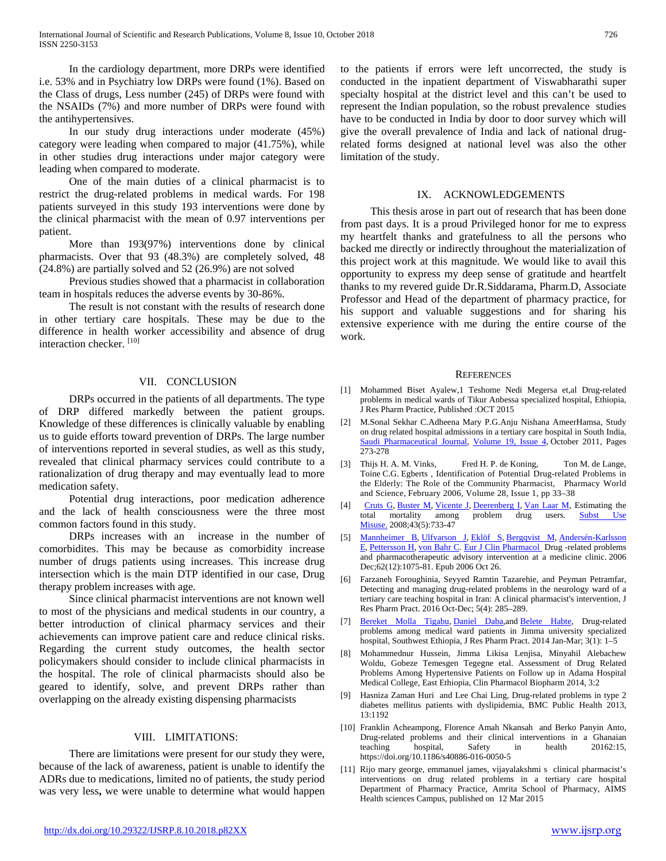In the cardiology department, more DRPs were identified i.e. 53% and in Psychiatry low DRPs were found (1%). Based on the Class of drugs, Less number (245) of DRPs were found with the NSAIDs (7%) and more number of DRPs were found with the antihypertensives.

 In our study drug interactions under moderate (45%) category were leading when compared to major (41.75%), while in other studies drug interactions under major category were leading when compared to moderate.

 One of the main duties of a clinical pharmacist is to restrict the drug-related problems in medical wards. For 198 patients surveyed in this study 193 interventions were done by the clinical pharmacist with the mean of 0.97 interventions per patient.

 More than 193(97%) interventions done by clinical pharmacists. Over that 93 (48.3%) are completely solved, 48 (24.8%) are partially solved and 52 (26.9%) are not solved

 Previous studies showed that a pharmacist in collaboration team in hospitals reduces the adverse events by 30-86%.

 The result is not constant with the results of research done in other tertiary care hospitals. These may be due to the difference in health worker accessibility and absence of drug interaction checker. [10]

# VII. CONCLUSION

 DRPs occurred in the patients of all departments. The type of DRP differed markedly between the patient groups. Knowledge of these differences is clinically valuable by enabling us to guide efforts toward prevention of DRPs. The large number of interventions reported in several studies, as well as this study, revealed that clinical pharmacy services could contribute to a rationalization of drug therapy and may eventually lead to more medication safety.

 Potential drug interactions, poor medication adherence and the lack of health consciousness were the three most common factors found in this study.

 DRPs increases with an increase in the number of comorbidites. This may be because as comorbidity increase number of drugs patients using increases. This increase drug intersection which is the main DTP identified in our case, Drug therapy problem increases with age.

 Since clinical pharmacist interventions are not known well to most of the physicians and medical students in our country, a better introduction of clinical pharmacy services and their achievements can improve patient care and reduce clinical risks. Regarding the current study outcomes, the health sector policymakers should consider to include clinical pharmacists in the hospital. The role of clinical pharmacists should also be geared to identify, solve, and prevent DRPs rather than overlapping on the already existing dispensing pharmacists

# VIII. LIMITATIONS:

 There are limitations were present for our study they were, because of the lack of awareness, patient is unable to identify the ADRs due to medications, limited no of patients, the study period was very less**,** we were unable to determine what would happen

to the patients if errors were left uncorrected, the study is conducted in the inpatient department of Viswabharathi super specialty hospital at the district level and this can't be used to represent the Indian population, so the robust prevalence studies have to be conducted in India by door to door survey which will give the overall prevalence of India and lack of national drugrelated forms designed at national level was also the other limitation of the study.

### IX. ACKNOWLEDGEMENTS

 This thesis arose in part out of research that has been done from past days. It is a proud Privileged honor for me to express my heartfelt thanks and gratefulness to all the persons who backed me directly or indirectly throughout the materialization of this project work at this magnitude. We would like to avail this opportunity to express my deep sense of gratitude and heartfelt thanks to my revered guide Dr.R.Siddarama, Pharm.D, Associate Professor and Head of the department of pharmacy practice, for his support and valuable suggestions and for sharing his extensive experience with me during the entire course of the work.

### **REFERENCES**

- [1] Mohammed Biset Ayalew,1 Teshome Nedi Megersa et,al Drug-related problems in medical wards of Tikur Anbessa specialized hospital, Ethiopia, J Res Pharm Practice, Published :OCT 2015
- [2] [M.Sonal Sekhar](https://www.sciencedirect.com/science/article/pii/S1319016411000338#!) [C.Adheena Mary](https://www.sciencedirect.com/science/article/pii/S1319016411000338#!) [P.G.Anju](https://www.sciencedirect.com/science/article/pii/S1319016411000338#!) [Nishana AmeerHamsa,](https://www.sciencedirect.com/science/article/pii/S1319016411000338#!) Study on drug related hospital admissions in a tertiary care hospital in South India, [Saudi Pharmaceutical Journal,](https://www.sciencedirect.com/science/journal/13190164) [Volume 19, Issue 4,](https://www.sciencedirect.com/science/journal/13190164/19/4) October 2011, Pages 273-278
- [3] Thijs H. A. M. Vinks, Fred H. P. de Koning, Ton M. de Lange, Toine C.G. Egberts , Identification of Potential Drug-related Problems in the Elderly: The Role of the Community Pharmacist, [Pharmacy World](https://link.springer.com/journal/11096)  [and Science,](https://link.springer.com/journal/11096) February 2006, Volume 28, [Issue](https://link.springer.com/journal/11096/28/1/page/1) 1, pp 33–38
- [4] [Cruts G,](https://www.ncbi.nlm.nih.gov/pubmed/?term=Cruts%20G%5BAuthor%5D&cauthor=true&cauthor_uid=18393087) [Buster M,](https://www.ncbi.nlm.nih.gov/pubmed/?term=Buster%20M%5BAuthor%5D&cauthor=true&cauthor_uid=18393087) [Vicente J,](https://www.ncbi.nlm.nih.gov/pubmed/?term=Vicente%20J%5BAuthor%5D&cauthor=true&cauthor_uid=18393087) [Deerenberg I,](https://www.ncbi.nlm.nih.gov/pubmed/?term=Deerenberg%20I%5BAuthor%5D&cauthor=true&cauthor_uid=18393087) [Van Laar M,](https://www.ncbi.nlm.nih.gov/pubmed/?term=Van%20Laar%20M%5BAuthor%5D&cauthor=true&cauthor_uid=18393087) Estimating the total mortality among problem drug users. **Subst Use** [Misuse.](https://www.ncbi.nlm.nih.gov/pubmed/18393087) 2008;43(5):733-47
- [5] [Mannheimer B,](https://www.ncbi.nlm.nih.gov/pubmed/?term=Mannheimer%20B%5BAuthor%5D&cauthor=true&cauthor_uid=17066294) [Ulfvarson J,](https://www.ncbi.nlm.nih.gov/pubmed/?term=Ulfvarson%20J%5BAuthor%5D&cauthor=true&cauthor_uid=17066294) [Eklöf S,](https://www.ncbi.nlm.nih.gov/pubmed/?term=Ekl%C3%B6f%20S%5BAuthor%5D&cauthor=true&cauthor_uid=17066294) [Bergqvist M,](https://www.ncbi.nlm.nih.gov/pubmed/?term=Bergqvist%20M%5BAuthor%5D&cauthor=true&cauthor_uid=17066294) [Andersén-Karlsson](https://www.ncbi.nlm.nih.gov/pubmed/?term=Anders%C3%A9n-Karlsson%20E%5BAuthor%5D&cauthor=true&cauthor_uid=17066294)  [E,](https://www.ncbi.nlm.nih.gov/pubmed/?term=Anders%C3%A9n-Karlsson%20E%5BAuthor%5D&cauthor=true&cauthor_uid=17066294) [Pettersson H,](https://www.ncbi.nlm.nih.gov/pubmed/?term=Pettersson%20H%5BAuthor%5D&cauthor=true&cauthor_uid=17066294) [von Bahr C.](https://www.ncbi.nlm.nih.gov/pubmed/?term=von%20Bahr%20C%5BAuthor%5D&cauthor=true&cauthor_uid=17066294) [Eur J Clin Pharmacol D](https://www.ncbi.nlm.nih.gov/pubmed/17066294)rug -related problems and pharmacotherapeutic advisory intervention at a medicine clinic. 2006 Dec;62(12):1075-81. Epub 2006 Oct 26.
- [6] Farzaneh Foroughinia, Seyyed Ramtin Tazarehie, and Peyman Petramfar, Detecting and managing drug-related problems in the neurology ward of a tertiary care teaching hospital in Iran: A clinical pharmacist's intervention, J Res Pharm Pract. 2016 Oct-Dec; 5(4): 285–289.
- [7] [Bereket Molla Tigabu,](https://www.ncbi.nlm.nih.gov/pubmed/?term=Tigabu%20BM%5BAuthor%5D&cauthor=true&cauthor_uid=24991628) Daniel Daba, and [Belete Habte,](https://www.ncbi.nlm.nih.gov/pubmed/?term=Habte%20B%5BAuthor%5D&cauthor=true&cauthor_uid=24991628) Drug-related problems among medical ward patients in Jimma university specialized hospital, Southwest Ethiopia, J Res Pharm Pract. 2014 Jan-Mar; 3(1): 1–5
- [8] Mohammednur Hussein, Jimma Likisa Lenjisa, Minyahil Alebachew Woldu, Gobeze Temesgen Tegegne etal. Assessment of Drug Related Problems Among Hypertensive Patients on Follow up in Adama Hospital Medical College, East Ethiopia, Clin Pharmacol Biopharm 2014, 3:2
- [9] Hasniza Zaman Huri and Lee Chai Ling, Drug-related problems in type 2 diabetes mellitus patients with dyslipidemia, BMC Public Health 2013, 13:1192
- [10] Franklin Acheampong, Florence Amah Nkansah and Berko Panyin Anto, Drug-related problems and their clinical interventions in a Ghanaian teaching hospital, Safety in health 20162:15, teaching hospital, Safety in health 20162:15, https://doi.org/10.1186/s40886-016-0050-5
- [11] Rijo mary george, emmanuel james, vijayalakshmi s clinical pharmacist's interventions on drug related problems in a tertiary care hospital Department of Pharmacy Practice, Amrita School of Pharmacy, AIMS Health sciences Campus, published on 12 Mar 2015